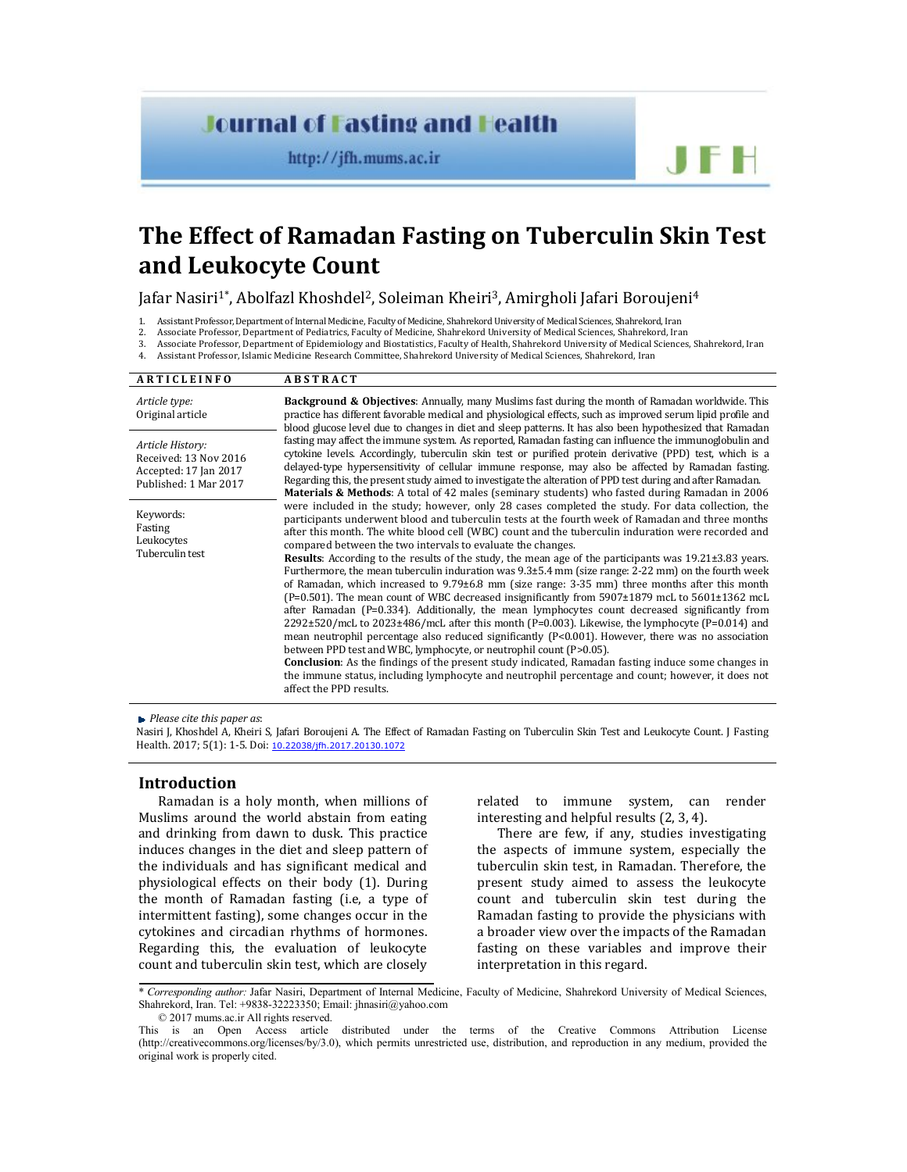## **Journal of Fasting and Health**

http://jfh.mums.ac.ir

# **The Effect of Ramadan Fasting on Tuberculin Skin Test and Leukocyte Count**

Jafar Nasiri<sup>1</sup>\*, Abolfazl Khoshdel<sup>2</sup>, Soleiman Kheiri<sup>3</sup>, Amirgholi Jafari Boroujeni<sup>4</sup>

1. Assistant Professor, Department of Internal Medicine, Faculty of Medicine, Shahrekord University of Medical Sciences, Shahrekord, Iran

2. Associate Professor, Department of Pediatrics, Faculty of Medicine, Shahrekord University of Medical Sciences, Shahrekord, Iran

- 3. Associate Professor, Department of Epidemiology and Biostatistics, Faculty of Health, Shahrekord University of Medical Sciences, Shahrekord, Iran
- 4. Assistant Professor, Islamic Medicine Research Committee, Shahrekord University of Medical Sciences, Shahrekord, Iran

| <b>ARTICLEINFO</b>                                                                          | <b>ABSTRACT</b>                                                                                                                                                                                                                                                                                                                                                                                                                                                                                                                                                                                                                                                                                                                                                                                                                                                                                                                                                                                                                                                                                                                                                                                                                                                                                                                                                                                                                                                               |  |  |
|---------------------------------------------------------------------------------------------|-------------------------------------------------------------------------------------------------------------------------------------------------------------------------------------------------------------------------------------------------------------------------------------------------------------------------------------------------------------------------------------------------------------------------------------------------------------------------------------------------------------------------------------------------------------------------------------------------------------------------------------------------------------------------------------------------------------------------------------------------------------------------------------------------------------------------------------------------------------------------------------------------------------------------------------------------------------------------------------------------------------------------------------------------------------------------------------------------------------------------------------------------------------------------------------------------------------------------------------------------------------------------------------------------------------------------------------------------------------------------------------------------------------------------------------------------------------------------------|--|--|
| Article type:<br>Original article                                                           | <b>Background &amp; Objectives:</b> Annually, many Muslims fast during the month of Ramadan worldwide. This<br>practice has different favorable medical and physiological effects, such as improved serum lipid profile and<br>blood glucose level due to changes in diet and sleep patterns. It has also been hypothesized that Ramadan<br>fasting may affect the immune system. As reported, Ramadan fasting can influence the immunoglobulin and<br>cytokine levels. Accordingly, tuberculin skin test or purified protein derivative (PPD) test, which is a<br>delayed-type hypersensitivity of cellular immune response, may also be affected by Ramadan fasting.<br>Regarding this, the present study aimed to investigate the alteration of PPD test during and after Ramadan.<br><b>Materials &amp; Methods:</b> A total of 42 males (seminary students) who fasted during Ramadan in 2006                                                                                                                                                                                                                                                                                                                                                                                                                                                                                                                                                                            |  |  |
| Article History:<br>Received: 13 Nov 2016<br>Accepted: 17 Jan 2017<br>Published: 1 Mar 2017 |                                                                                                                                                                                                                                                                                                                                                                                                                                                                                                                                                                                                                                                                                                                                                                                                                                                                                                                                                                                                                                                                                                                                                                                                                                                                                                                                                                                                                                                                               |  |  |
| Keywords:<br>Fasting<br>Leukocytes<br>Tuberculin test                                       | were included in the study; however, only 28 cases completed the study. For data collection, the<br>participants underwent blood and tuberculin tests at the fourth week of Ramadan and three months<br>after this month. The white blood cell (WBC) count and the tuberculin induration were recorded and<br>compared between the two intervals to evaluate the changes.<br><b>Results:</b> According to the results of the study, the mean age of the participants was 19.21±3.83 years.<br>Furthermore, the mean tuberculin induration was $9.3\pm5.4$ mm (size range: 2-22 mm) on the fourth week<br>of Ramadan, which increased to $9.79\pm6.8$ mm (size range: 3-35 mm) three months after this month<br>$(P=0.501)$ . The mean count of WBC decreased insignificantly from 5907 $\pm$ 1879 mcL to 5601 $\pm$ 1362 mcL<br>after Ramadan ( $P=0.334$ ). Additionally, the mean lymphocytes count decreased significantly from<br>$2292\pm520$ /mcL to $2023\pm486$ /mcL after this month (P=0.003). Likewise, the lymphocyte (P=0.014) and<br>mean neutrophil percentage also reduced significantly $(P< 0.001)$ . However, there was no association<br>between PPD test and WBC, lymphocyte, or neutrophil count (P>0.05).<br><b>Conclusion:</b> As the findings of the present study indicated, Ramadan fasting induce some changes in<br>the immune status, including lymphocyte and neutrophil percentage and count; however, it does not<br>affect the PPD results. |  |  |

*Please cite this paper as*:

Nasiri J, Khoshdel A, Kheiri S, Jafari Boroujeni A. The Effect of Ramadan Fasting on Tuberculin Skin Test and Leukocyte Count. J Fasting Health. 2017; 5(1): 1-5. Doi: 10.22038/jfh.2017.20130.1072

#### **Introduction**

Ramadan is a holy month, when millions of Muslims around the world abstain from eating and drinking from dawn to dusk. This practice induces changes in the diet and sleep pattern of the individuals and has significant medical and physiological effects on their body (1). During the month of Ramadan fasting (i.e, a type of intermittent fasting), some changes occur in the cytokines and circadian rhythms of hormones. Regarding this, the evaluation of leukocyte count and tuberculin skin test, which are closely

related to immune system, can render interesting and helpful results (2, 3, 4).

JFH

There are few, if any, studies investigating the aspects of immune system, especially the tuberculin skin test, in Ramadan. Therefore, the present study aimed to assess the leukocyte count and tuberculin skin test during the Ramadan fasting to provide the physicians with a broader view over the impacts of the Ramadan fasting on these variables and improve their interpretation in this regard.

<sup>\*</sup> *Corresponding author:* Jafar Nasiri, Department of Internal Medicine, Faculty of Medicine, Shahrekord University of Medical Sciences, Shahrekord, Iran. Tel: +9838-32223350; Email: jhnasiri@yahoo.com

<sup>© 2017</sup> mums.ac.ir All rights reserved.

This is an Open Access article distributed under the terms of the Creative Commons Attribution License (http://creativecommons.org/licenses/by/3.0), which permits unrestricted use, distribution, and reproduction in any medium, provided the original work is properly cited.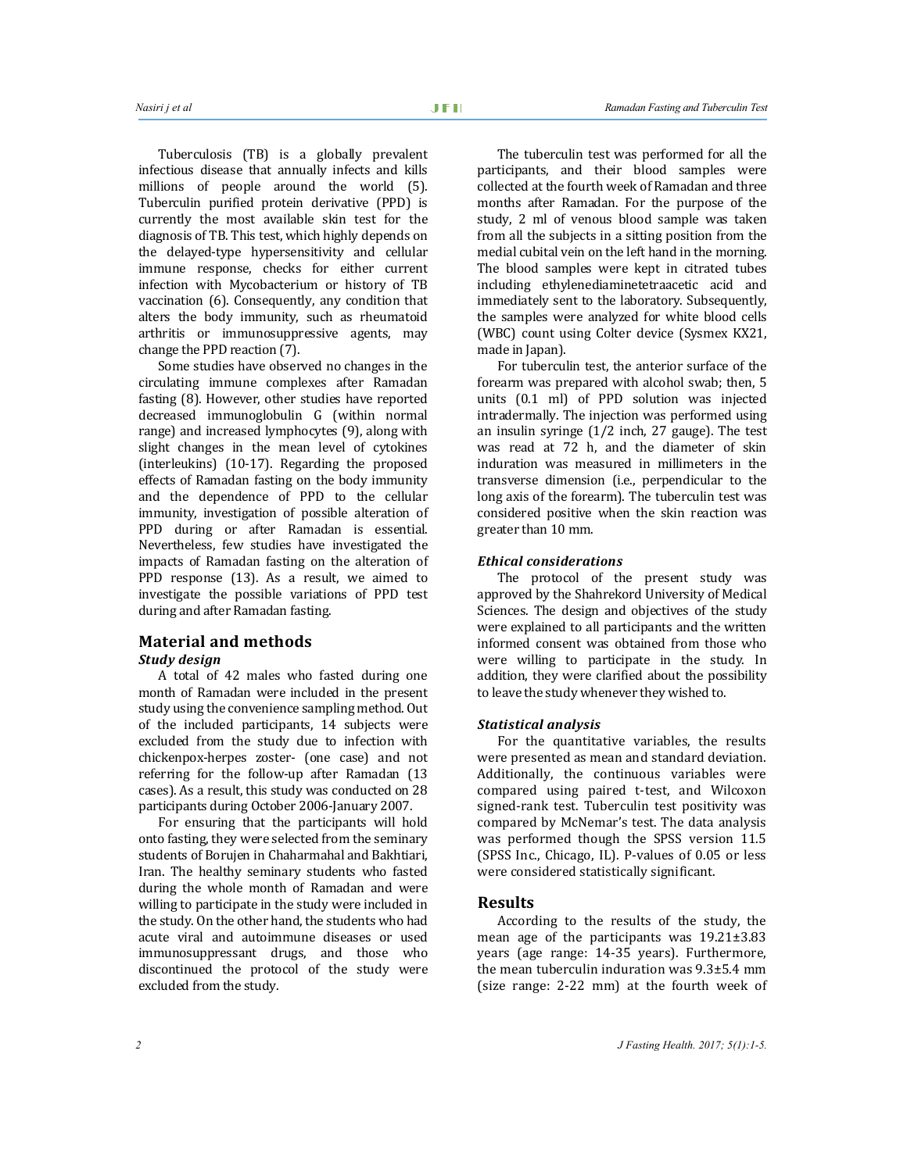Tuberculosis (TB) is a globally prevalent infectious disease that annually infects and kills millions of people around the world (5). Tuberculin purified protein derivative (PPD) is currently the most available skin test for the diagnosis of TB. This test, which highly depends on the delayed-type hypersensitivity and cellular immune response, checks for either current infection with Mycobacterium or history of TB vaccination (6). Consequently, any condition that alters the body immunity, such as rheumatoid arthritis or immunosuppressive agents, may change the PPD reaction (7).

Some studies have observed no changes in the circulating immune complexes after Ramadan fasting (8). However, other studies have reported decreased immunoglobulin G (within normal range) and increased lymphocytes (9), along with slight changes in the mean level of cytokines (interleukins) (10-17). Regarding the proposed effects of Ramadan fasting on the body immunity and the dependence of PPD to the cellular immunity, investigation of possible alteration of PPD during or after Ramadan is essential. Nevertheless, few studies have investigated the impacts of Ramadan fasting on the alteration of PPD response (13). As a result, we aimed to investigate the possible variations of PPD test during and after Ramadan fasting.

### **Material and methods**

#### *Study design*

A total of 42 males who fasted during one month of Ramadan were included in the present study using the convenience sampling method. Out of the included participants, 14 subjects were excluded from the study due to infection with chickenpox-herpes zoster- (one case) and not referring for the follow-up after Ramadan (13 cases). As a result, this study was conducted on 28 participants during October 2006-January 2007.

For ensuring that the participants will hold onto fasting, they were selected from the seminary students of Borujen in Chaharmahal and Bakhtiari, Iran. The healthy seminary students who fasted during the whole month of Ramadan and were willing to participate in the study were included in the study. On the other hand, the students who had acute viral and autoimmune diseases or used immunosuppressant drugs, and those who discontinued the protocol of the study were excluded from the study.

The tuberculin test was performed for all the participants, and their blood samples were collected at the fourth week of Ramadan and three months after Ramadan. For the purpose of the study, 2 ml of venous blood sample was taken from all the subjects in a sitting position from the medial cubital vein on the left hand in the morning. The blood samples were kept in citrated tubes including ethylenediaminetetraacetic acid and immediately sent to the laboratory. Subsequently, the samples were analyzed for white blood cells (WBC) count using Colter device (Sysmex KX21, made in Japan).

For tuberculin test, the anterior surface of the forearm was prepared with alcohol swab; then, 5 units (0.1 ml) of PPD solution was injected intradermally. The injection was performed using an insulin syringe (1/2 inch, 27 gauge). The test was read at 72 h, and the diameter of skin induration was measured in millimeters in the transverse dimension (i.e., perpendicular to the long axis of the forearm). The tuberculin test was considered positive when the skin reaction was greater than 10 mm.

#### *Ethical considerations*

The protocol of the present study was approved by the Shahrekord University of Medical Sciences. The design and objectives of the study were explained to all participants and the written informed consent was obtained from those who were willing to participate in the study. In addition, they were clarified about the possibility to leave the study whenever they wished to.

#### *Statistical analysis*

For the quantitative variables, the results were presented as mean and standard deviation. Additionally, the continuous variables were compared using paired t-test, and Wilcoxon signed-rank test. Tuberculin test positivity was compared by McNemar's test. The data analysis was performed though the SPSS version 11.5 (SPSS Inc., Chicago, IL). P-values of 0.05 or less were considered statistically significant.

#### **Results**

According to the results of the study, the mean age of the participants was 19.21±3.83 years (age range: 14-35 years). Furthermore, the mean tuberculin induration was 9.3±5.4 mm (size range: 2-22 mm) at the fourth week of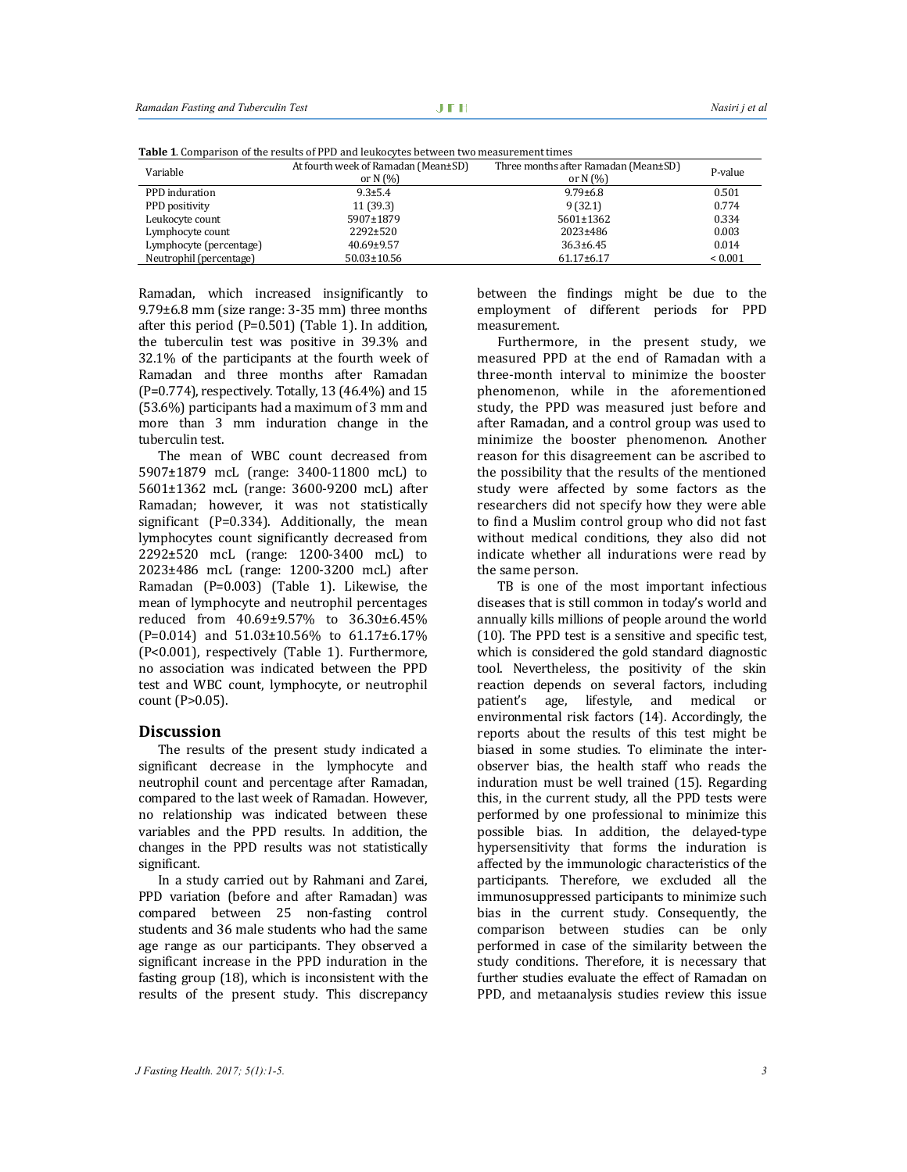| <b>Table 1.</b> Comparison of the results of PPD and leukocytes between two measurement times |  |
|-----------------------------------------------------------------------------------------------|--|
|-----------------------------------------------------------------------------------------------|--|

| Variable                | At fourth week of Ramadan (Mean±SD) | Three months after Ramadan (Mean±SD) | P-value      |
|-------------------------|-------------------------------------|--------------------------------------|--------------|
|                         | or N $(%)$                          | or N $(%)$                           |              |
| PPD induration          | $9.3 \pm 5.4$                       | $9.79 \pm 6.8$                       | 0.501        |
| PPD positivity          | 11(39.3)                            | 9(32.1)                              | 0.774        |
| Leukocyte count         | 5907±1879                           | 5601±1362                            | 0.334        |
| Lymphocyte count        | 2292±520                            | $2023 \pm 486$                       | 0.003        |
| Lymphocyte (percentage) | $40.69 \pm 9.57$                    | $36.3 \pm 6.45$                      | 0.014        |
| Neutrophil (percentage) | $50.03 \pm 10.56$                   | $61.17 \pm 6.17$                     | ${}_{0.001}$ |

Ramadan, which increased insignificantly to 9.79±6.8 mm (size range: 3-35 mm) three months after this period (P=0.501) (Table 1). In addition, the tuberculin test was positive in 39.3% and 32.1% of the participants at the fourth week of Ramadan and three months after Ramadan (P=0.774), respectively. Totally, 13 (46.4%) and 15 (53.6%) participants had a maximum of 3 mm and more than 3 mm induration change in the tuberculin test.

The mean of WBC count decreased from 5907±1879 mcL (range: 3400-11800 mcL) to 5601±1362 mcL (range: 3600-9200 mcL) after Ramadan; however, it was not statistically significant (P=0.334). Additionally, the mean lymphocytes count significantly decreased from 2292±520 mcL (range: 1200-3400 mcL) to 2023±486 mcL (range: 1200-3200 mcL) after Ramadan (P=0.003) (Table 1). Likewise, the mean of lymphocyte and neutrophil percentages reduced from 40.69±9.57% to 36.30±6.45% (P=0.014) and 51.03±10.56% to 61.17±6.17% (P<0.001), respectively (Table 1). Furthermore, no association was indicated between the PPD test and WBC count, lymphocyte, or neutrophil count (P>0.05).

#### **Discussion**

The results of the present study indicated a significant decrease in the lymphocyte and neutrophil count and percentage after Ramadan, compared to the last week of Ramadan. However, no relationship was indicated between these variables and the PPD results. In addition, the changes in the PPD results was not statistically significant.

In a study carried out by Rahmani and Zarei, PPD variation (before and after Ramadan) was compared between 25 non-fasting control students and 36 male students who had the same age range as our participants. They observed a significant increase in the PPD induration in the fasting group (18), which is inconsistent with the results of the present study. This discrepancy

between the findings might be due to the employment of different periods for PPD measurement.

Furthermore, in the present study, we measured PPD at the end of Ramadan with a three-month interval to minimize the booster phenomenon, while in the aforementioned study, the PPD was measured just before and after Ramadan, and a control group was used to minimize the booster phenomenon. Another reason for this disagreement can be ascribed to the possibility that the results of the mentioned study were affected by some factors as the researchers did not specify how they were able to find a Muslim control group who did not fast without medical conditions, they also did not indicate whether all indurations were read by the same person.

TB is one of the most important infectious diseases that is still common in today's world and annually kills millions of people around the world (10). The PPD test is a sensitive and specific test, which is considered the gold standard diagnostic tool. Nevertheless, the positivity of the skin reaction depends on several factors, including patient's age, lifestyle, and medical or environmental risk factors (14). Accordingly, the reports about the results of this test might be biased in some studies. To eliminate the interobserver bias, the health staff who reads the induration must be well trained (15). Regarding this, in the current study, all the PPD tests were performed by one professional to minimize this possible bias. In addition, the delayed-type hypersensitivity that forms the induration is affected by the immunologic characteristics of the participants. Therefore, we excluded all the immunosuppressed participants to minimize such bias in the current study. Consequently, the comparison between studies can be only performed in case of the similarity between the study conditions. Therefore, it is necessary that further studies evaluate the effect of Ramadan on PPD, and metaanalysis studies review this issue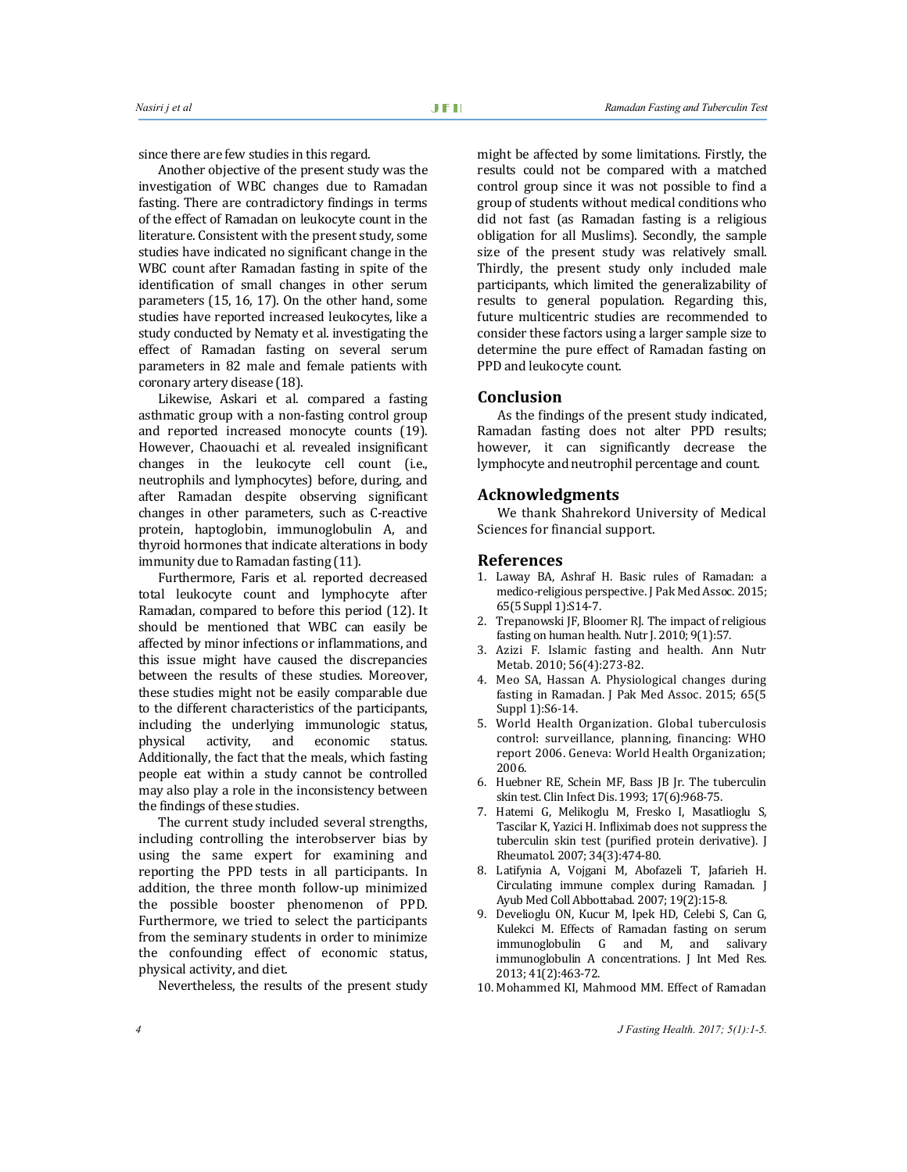since there are few studies in this regard.

Another objective of the present study was the investigation of WBC changes due to Ramadan fasting. There are contradictory findings in terms of the effect of Ramadan on leukocyte count in the literature. Consistent with the present study, some studies have indicated no significant change in the WBC count after Ramadan fasting in spite of the identification of small changes in other serum parameters (15, 16, 17). On the other hand, some studies have reported increased leukocytes, like a study conducted by Nematy et al. investigating the effect of Ramadan fasting on several serum parameters in 82 male and female patients with coronary artery disease (18).

Likewise, Askari et al. compared a fasting asthmatic group with a non-fasting control group and reported increased monocyte counts (19). However, Chaouachi et al. revealed insignificant changes in the leukocyte cell count (i.e., neutrophils and lymphocytes) before, during, and after Ramadan despite observing significant changes in other parameters, such as C-reactive protein, haptoglobin, immunoglobulin A, and thyroid hormones that indicate alterations in body immunity due to Ramadan fasting (11).

Furthermore, Faris et al. reported decreased total leukocyte count and lymphocyte after Ramadan, compared to before this period (12). It should be mentioned that WBC can easily be affected by minor infections or inflammations, and this issue might have caused the discrepancies between the results of these studies. Moreover, these studies might not be easily comparable due to the different characteristics of the participants, including the underlying immunologic status, physical activity, and economic status. Additionally, the fact that the meals, which fasting people eat within a study cannot be controlled may also play a role in the inconsistency between the findings of these studies.

The current study included several strengths, including controlling the interobserver bias by using the same expert for examining and reporting the PPD tests in all participants. In addition, the three month follow-up minimized the possible booster phenomenon of PPD. Furthermore, we tried to select the participants from the seminary students in order to minimize the confounding effect of economic status, physical activity, and diet.

Nevertheless, the results of the present study

might be affected by some limitations. Firstly, the results could not be compared with a matched control group since it was not possible to find a group of students without medical conditions who did not fast (as Ramadan fasting is a religious obligation for all Muslims). Secondly, the sample size of the present study was relatively small. Thirdly, the present study only included male participants, which limited the generalizability of results to general population. Regarding this, future multicentric studies are recommended to consider these factors using a larger sample size to determine the pure effect of Ramadan fasting on PPD and leukocyte count.

#### **Conclusion**

As the findings of the present study indicated, Ramadan fasting does not alter PPD results; however, it can significantly decrease the lymphocyte and neutrophil percentage and count.

#### **Acknowledgments**

We thank Shahrekord University of Medical Sciences for financial support.

#### **References**

- 1. Laway BA, Ashraf H. Basic rules of Ramadan: a medico-religious perspective. J Pak Med Assoc. 2015; 65(5 Suppl 1):S14-7.
- 2. Trepanowski JF, Bloomer RJ. The impact of religious fasting on human health. Nutr J. 2010; 9(1):57.
- 3. Azizi F. Islamic fasting and health. Ann Nutr Metab. 2010; 56(4):273-82.
- 4. Meo SA, Hassan A. Physiological changes during fasting in Ramadan. J Pak Med Assoc. 2015; 65(5) Suppl 1):S6-14.
- 5. World Health Organization. Global tuberculosis control: surveillance, planning, financing: WHO report 2006. Geneva: World Health Organization; 2006.
- 6. Huebner RE, Schein MF, Bass JB Jr. The tuberculin skin test. Clin Infect Dis. 1993; 17(6):968-75.
- 7. Hatemi G, Melikoglu M, Fresko I, Masatlioglu S, Tascilar K, Yazici H. Infliximab does not suppress the tuberculin skin test (purified protein derivative). J Rheumatol. 2007; 34(3):474-80.
- 8. Latifynia A, Vojgani M, Abofazeli T, Jafarieh H. Circulating immune complex during Ramadan. J Ayub Med Coll Abbottabad. 2007; 19(2):15-8.
- 9. Develioglu ON, Kucur M, Ipek HD, Celebi S, Can G, Kulekci M. Effects of Ramadan fasting on serum immunoglobulin G and M, and salivary immunoglobulin A concentrations. J Int Med Res. 2013; 41(2):463-72.
- 10. Mohammed KI, Mahmood MM. Effect of Ramadan

*4 J Fasting Health. 2017; 5(1):1-5.*